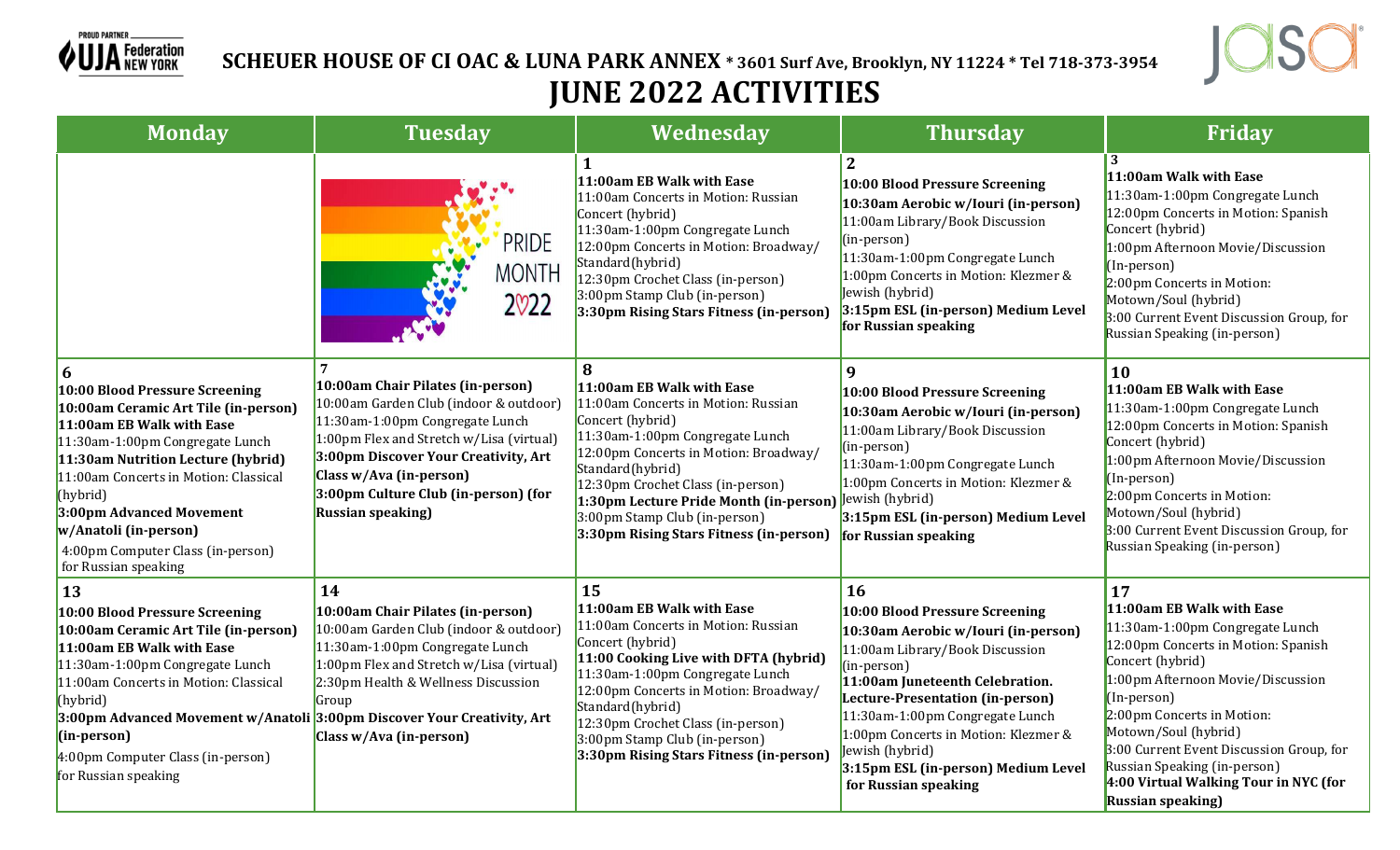

 **SCHEUER HOUSE OF CI OAC & LUNA PARK ANNEX \* 3601 Surf Ave, Brooklyn, NY 11224 \* Tel 718-373-3954 JUNE 2022 ACTIVITIES**



| <b>Monday</b>                                                                                                                                                                                                                                                                                                                                            | <b>Tuesday</b>                                                                                                                                                                                                                                                                                     | Wednesday                                                                                                                                                                                                                                                                                                                                            | <b>Thursday</b>                                                                                                                                                                                                                                                                                                                                                          | Friday                                                                                                                                                                                                                                                                                                                                                                                    |
|----------------------------------------------------------------------------------------------------------------------------------------------------------------------------------------------------------------------------------------------------------------------------------------------------------------------------------------------------------|----------------------------------------------------------------------------------------------------------------------------------------------------------------------------------------------------------------------------------------------------------------------------------------------------|------------------------------------------------------------------------------------------------------------------------------------------------------------------------------------------------------------------------------------------------------------------------------------------------------------------------------------------------------|--------------------------------------------------------------------------------------------------------------------------------------------------------------------------------------------------------------------------------------------------------------------------------------------------------------------------------------------------------------------------|-------------------------------------------------------------------------------------------------------------------------------------------------------------------------------------------------------------------------------------------------------------------------------------------------------------------------------------------------------------------------------------------|
|                                                                                                                                                                                                                                                                                                                                                          | <b>PRIDE</b><br><b>MONTH</b><br>2022                                                                                                                                                                                                                                                               | $\mathbf{1}$<br>11:00am EB Walk with Ease<br>11:00am Concerts in Motion: Russian<br>Concert (hybrid)<br>11:30am-1:00pm Congregate Lunch<br>12:00pm Concerts in Motion: Broadway/<br>Standard(hybrid)<br>12:30pm Crochet Class (in-person)<br>3:00pm Stamp Club (in-person)<br>3:30pm Rising Stars Fitness (in-person)                                | $\overline{2}$<br>10:00 Blood Pressure Screening<br>10:30am Aerobic w/Iouri (in-person)<br>11:00am Library/Book Discussion<br>(in-person)<br>11:30am-1:00pm Congregate Lunch<br>1:00pm Concerts in Motion: Klezmer &<br>Jewish (hybrid)<br>3:15pm ESL (in-person) Medium Level<br>for Russian speaking                                                                   | 3<br>11:00am Walk with Ease<br>11:30am-1:00pm Congregate Lunch<br>12:00pm Concerts in Motion: Spanish<br>Concert (hybrid)<br>1:00pm Afternoon Movie/Discussion<br>(In-person)<br>2:00pm Concerts in Motion:<br>Motown/Soul (hybrid)<br>3:00 Current Event Discussion Group, for<br>Russian Speaking (in-person)                                                                           |
| 6<br>10:00 Blood Pressure Screening<br>10:00am Ceramic Art Tile (in-person)<br>11:00am EB Walk with Ease<br>11:30am-1:00pm Congregate Lunch<br>11:30am Nutrition Lecture (hybrid)<br>11:00am Concerts in Motion: Classical<br>(hybrid)<br>3:00pm Advanced Movement<br>w/Anatoli (in-person)<br>4:00pm Computer Class (in-person)<br>for Russian speaking | 10:00am Chair Pilates (in-person)<br>10:00am Garden Club (indoor & outdoor)<br>11:30am-1:00pm Congregate Lunch<br>1:00pm Flex and Stretch w/Lisa (virtual)<br>3:00pm Discover Your Creativity, Art<br>Class w/Ava (in-person)<br>3:00pm Culture Club (in-person) (for<br><b>Russian speaking</b> ) | 8<br>11:00am EB Walk with Ease<br>11:00am Concerts in Motion: Russian<br>Concert (hybrid)<br>11:30am-1:00pm Congregate Lunch<br>12:00pm Concerts in Motion: Broadway/<br>Standard(hybrid)<br>12:30pm Crochet Class (in-person)<br>1:30pm Lecture Pride Month (in-person)<br>3:00pm Stamp Club (in-person)<br>3:30pm Rising Stars Fitness (in-person) | 9<br>10:00 Blood Pressure Screening<br>10:30am Aerobic w/Iouri (in-person)<br>11:00am Library/Book Discussion<br>(in-person)<br>11:30am-1:00pm Congregate Lunch<br>1:00pm Concerts in Motion: Klezmer &<br>Jewish (hybrid)<br>3:15pm ESL (in-person) Medium Level<br>for Russian speaking                                                                                | 10<br>11:00am EB Walk with Ease<br>11:30am-1:00pm Congregate Lunch<br>12:00pm Concerts in Motion: Spanish<br>Concert (hybrid)<br>1:00pm Afternoon Movie/Discussion<br>(In-person)<br>2:00pm Concerts in Motion:<br>Motown/Soul (hybrid)<br>3:00 Current Event Discussion Group, for<br>Russian Speaking (in-person)                                                                       |
| 13<br>10:00 Blood Pressure Screening<br>10:00am Ceramic Art Tile (in-person)<br>11:00am EB Walk with Ease<br>11:30am-1:00pm Congregate Lunch<br>11:00am Concerts in Motion: Classical<br>(hybrid)<br>3:00pm Advanced Movement w/Anatoli 3:00pm Discover Your Creativity, Art<br>(in-person)<br>4:00pm Computer Class (in-person)<br>for Russian speaking | 14<br>10:00am Chair Pilates (in-person)<br>10:00am Garden Club (indoor & outdoor)<br>11:30am-1:00pm Congregate Lunch<br>1:00pm Flex and Stretch w/Lisa (virtual)<br>2:30pm Health & Wellness Discussion<br>Group<br>Class w/Ava (in-person)                                                        | 15<br>11:00am EB Walk with Ease<br>11:00am Concerts in Motion: Russian<br>Concert (hybrid)<br>11:00 Cooking Live with DFTA (hybrid)<br>11:30am-1:00pm Congregate Lunch<br>12:00pm Concerts in Motion: Broadway/<br>Standard(hybrid)<br>12:30pm Crochet Class (in-person)<br>3:00pm Stamp Club (in-person)<br>3:30pm Rising Stars Fitness (in-person) | <b>16</b><br>10:00 Blood Pressure Screening<br>10:30am Aerobic w/Iouri (in-person)<br>11:00am Library/Book Discussion<br>(in-person)<br>11:00am Juneteenth Celebration.<br>Lecture-Presentation (in-person)<br>11:30am-1:00pm Congregate Lunch<br>1:00pm Concerts in Motion: Klezmer &<br>Jewish (hybrid)<br>3:15pm ESL (in-person) Medium Level<br>for Russian speaking | 17<br>11:00am EB Walk with Ease<br>11:30am-1:00pm Congregate Lunch<br>12:00pm Concerts in Motion: Spanish<br>Concert (hybrid)<br>1:00pm Afternoon Movie/Discussion<br>(In-person)<br>2:00pm Concerts in Motion:<br>Motown/Soul (hybrid)<br>3:00 Current Event Discussion Group, for<br>Russian Speaking (in-person)<br>4:00 Virtual Walking Tour in NYC (for<br><b>Russian speaking</b> ) |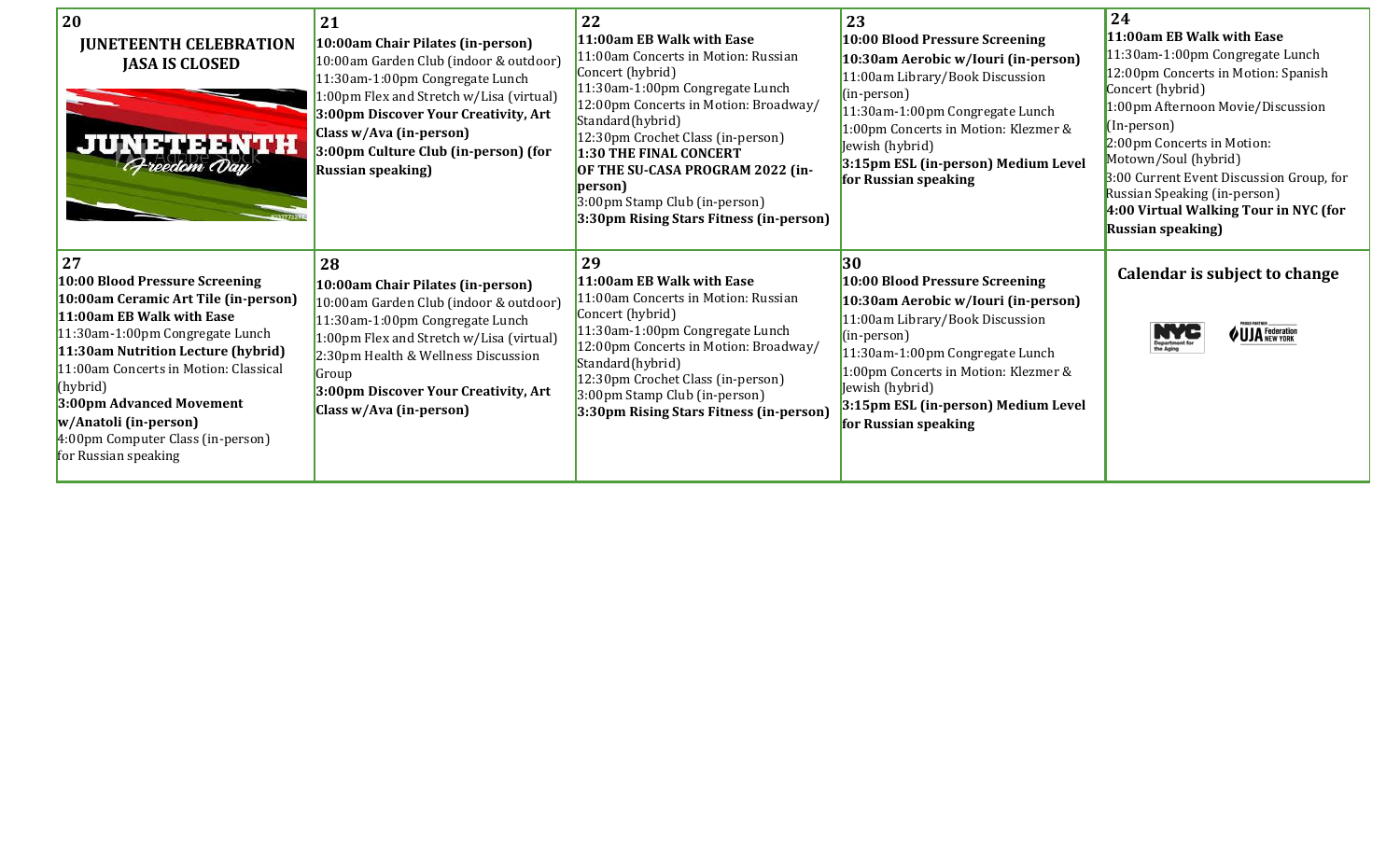| 20<br><b>JUNETEENTH CELEBRATION</b><br><b>JASA IS CLOSED</b><br><b>JUNETEENTH</b><br>Freedom Day                                                                                                                                                                                                                                                          | 21<br>10:00am Chair Pilates (in-person)<br>10:00am Garden Club (indoor & outdoor)<br>11:30am-1:00pm Congregate Lunch<br>1:00pm Flex and Stretch w/Lisa (virtual)<br>3:00pm Discover Your Creativity, Art<br>Class w/Ava (in-person)<br>3:00pm Culture Club (in-person) (for<br><b>Russian speaking</b> ) | 22<br>11:00am EB Walk with Ease<br>11:00am Concerts in Motion: Russian<br>Concert (hybrid)<br>11:30am-1:00pm Congregate Lunch<br>12:00pm Concerts in Motion: Broadway/<br>Standard(hybrid)<br>12:30pm Crochet Class (in-person)<br><b>1:30 THE FINAL CONCERT</b><br>OF THE SU-CASA PROGRAM 2022 (in-<br>person)<br>3:00pm Stamp Club (in-person)<br>3:30pm Rising Stars Fitness (in-person) | 23<br>10:00 Blood Pressure Screening<br>10:30am Aerobic w/Iouri (in-person)<br>11:00am Library/Book Discussion<br>(in-person)<br>11:30am-1:00pm Congregate Lunch<br>1:00pm Concerts in Motion: Klezmer &<br>Jewish (hybrid)<br>3:15pm ESL (in-person) Medium Level<br>for Russian speaking | 24<br>11:00am EB Walk with Ease<br>11:30am-1:00pm Congregate Lunch<br>12:00pm Concerts in Motion: Spanish<br>Concert (hybrid)<br>1:00pm Afternoon Movie/Discussion<br>(In-person)<br>2:00pm Concerts in Motion:<br>Motown/Soul (hybrid)<br>3:00 Current Event Discussion Group, for<br>Russian Speaking (in-person)<br>4:00 Virtual Walking Tour in NYC (for<br><b>Russian speaking</b> ) |
|-----------------------------------------------------------------------------------------------------------------------------------------------------------------------------------------------------------------------------------------------------------------------------------------------------------------------------------------------------------|----------------------------------------------------------------------------------------------------------------------------------------------------------------------------------------------------------------------------------------------------------------------------------------------------------|---------------------------------------------------------------------------------------------------------------------------------------------------------------------------------------------------------------------------------------------------------------------------------------------------------------------------------------------------------------------------------------------|--------------------------------------------------------------------------------------------------------------------------------------------------------------------------------------------------------------------------------------------------------------------------------------------|-------------------------------------------------------------------------------------------------------------------------------------------------------------------------------------------------------------------------------------------------------------------------------------------------------------------------------------------------------------------------------------------|
| 27<br>10:00 Blood Pressure Screening<br>10:00am Ceramic Art Tile (in-person)<br>11:00am EB Walk with Ease<br>11:30am-1:00pm Congregate Lunch<br>11:30am Nutrition Lecture (hybrid)<br>11:00am Concerts in Motion: Classical<br>(hybrid)<br>3:00pm Advanced Movement<br>w/Anatoli (in-person)<br>4:00pm Computer Class (in-person)<br>for Russian speaking | 28<br>10:00am Chair Pilates (in-person)<br>10:00am Garden Club (indoor & outdoor)<br>11:30am-1:00pm Congregate Lunch<br>1:00pm Flex and Stretch w/Lisa (virtual)<br>2:30pm Health & Wellness Discussion<br>Group<br>3:00pm Discover Your Creativity, Art<br>Class w/Ava (in-person)                      | 29<br>11:00am EB Walk with Ease<br>11:00am Concerts in Motion: Russian<br>Concert (hybrid)<br>11:30am-1:00pm Congregate Lunch<br>12:00pm Concerts in Motion: Broadway/<br>Standard(hybrid)<br>12:30pm Crochet Class (in-person)<br>3:00pm Stamp Club (in-person)<br>3:30pm Rising Stars Fitness (in-person)                                                                                 | 30<br>10:00 Blood Pressure Screening<br>10:30am Aerobic w/Iouri (in-person)<br>11:00am Library/Book Discussion<br>(in-person)<br>11:30am-1:00pm Congregate Lunch<br>1:00pm Concerts in Motion: Klezmer &<br>Jewish (hybrid)<br>3:15pm ESL (in-person) Medium Level<br>for Russian speaking | Calendar is subject to change<br><b>UJA</b> Federation                                                                                                                                                                                                                                                                                                                                    |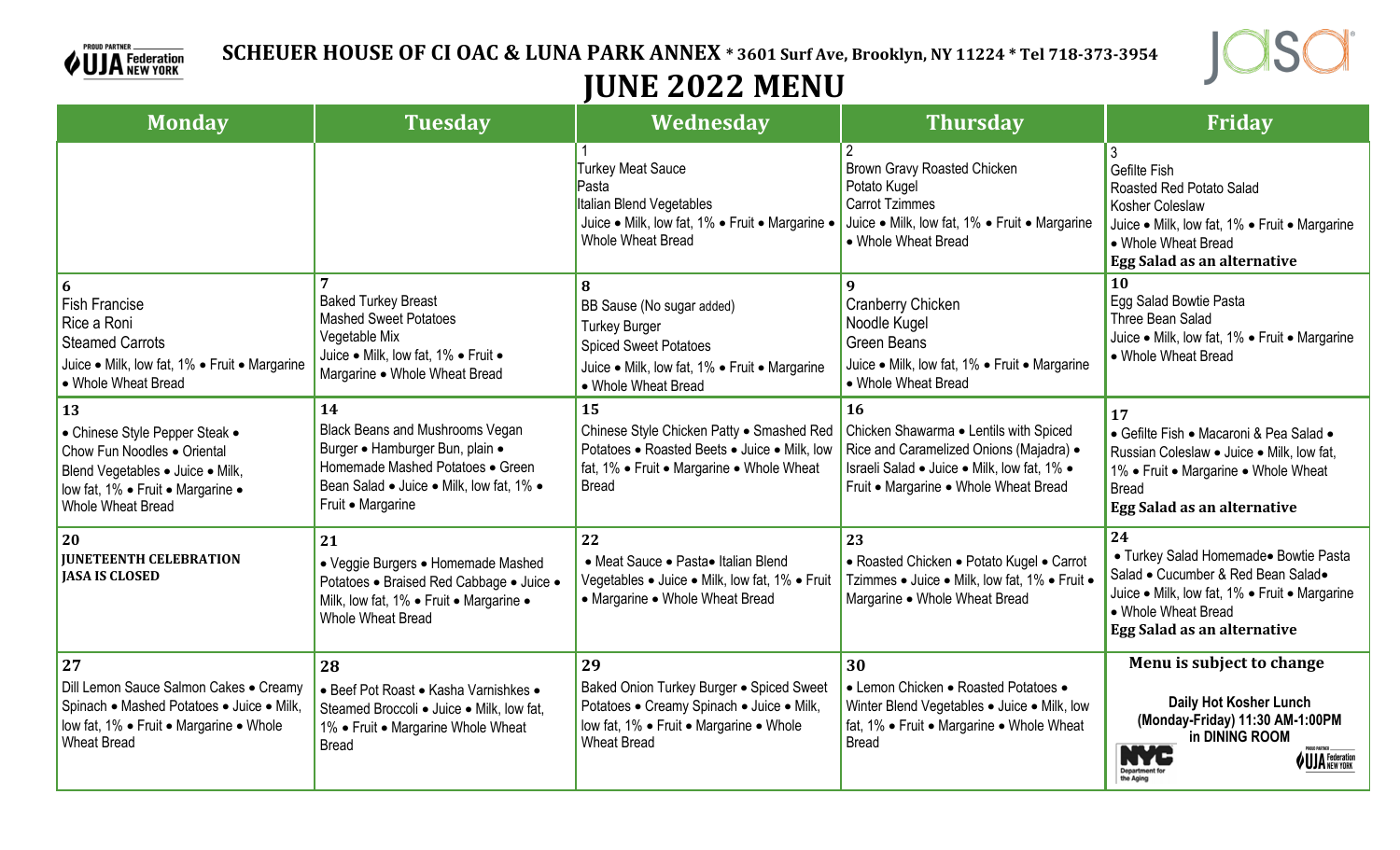



## **JUNE 2022 MENU**

| <b>Monday</b>                                                                                                                                                     | <b>Tuesday</b>                                                                                                                                                                | Wednesday                                                                                                                                                      | <b>Thursday</b>                                                                                                                                                                 | Friday                                                                                                                                                                                          |
|-------------------------------------------------------------------------------------------------------------------------------------------------------------------|-------------------------------------------------------------------------------------------------------------------------------------------------------------------------------|----------------------------------------------------------------------------------------------------------------------------------------------------------------|---------------------------------------------------------------------------------------------------------------------------------------------------------------------------------|-------------------------------------------------------------------------------------------------------------------------------------------------------------------------------------------------|
|                                                                                                                                                                   |                                                                                                                                                                               | <b>Turkey Meat Sauce</b><br>Pasta<br><b>Italian Blend Vegetables</b><br>Juice • Milk, low fat, 1% • Fruit • Margarine •<br>Whole Wheat Bread                   | Brown Gravy Roasted Chicken<br>Potato Kugel<br><b>Carrot Tzimmes</b><br>Juice • Milk, low fat, 1% • Fruit • Margarine<br>• Whole Wheat Bread                                    | Gefilte Fish<br>Roasted Red Potato Salad<br>Kosher Coleslaw<br>Juice . Milk, low fat, 1% . Fruit . Margarine<br>• Whole Wheat Bread<br>Egg Salad as an alternative                              |
| 6<br><b>Fish Francise</b><br>Rice a Roni<br><b>Steamed Carrots</b><br>Juice • Milk, low fat, 1% • Fruit • Margarine<br>• Whole Wheat Bread                        | <b>Baked Turkey Breast</b><br><b>Mashed Sweet Potatoes</b><br>Vegetable Mix<br>Juice . Milk, low fat, 1% . Fruit .<br>Margarine . Whole Wheat Bread                           | 8<br>BB Sause (No sugar added)<br><b>Turkey Burger</b><br><b>Spiced Sweet Potatoes</b><br>Juice . Milk, low fat, 1% . Fruit . Margarine<br>• Whole Wheat Bread | 9<br>Cranberry Chicken<br>Noodle Kugel<br><b>Green Beans</b><br>Juice • Milk, low fat, 1% • Fruit • Margarine<br>• Whole Wheat Bread                                            | 10<br>Egg Salad Bowtie Pasta<br>Three Bean Salad<br>Juice • Milk, low fat, 1% • Fruit • Margarine<br>• Whole Wheat Bread                                                                        |
| 13<br>• Chinese Style Pepper Steak •<br>Chow Fun Noodles . Oriental<br>Blend Vegetables . Juice . Milk,<br>low fat, 1% · Fruit · Margarine ·<br>Whole Wheat Bread | 14<br>Black Beans and Mushrooms Vegan<br>Burger · Hamburger Bun, plain ·<br>Homemade Mashed Potatoes • Green<br>Bean Salad • Juice • Milk, low fat, 1% •<br>Fruit • Margarine | 15<br>Chinese Style Chicken Patty . Smashed Red<br>Potatoes . Roasted Beets . Juice . Milk, low<br>fat, 1% • Fruit • Margarine • Whole Wheat<br><b>Bread</b>   | 16<br>Chicken Shawarma . Lentils with Spiced<br>Rice and Caramelized Onions (Majadra) .<br>Israeli Salad • Juice • Milk, low fat, 1% •<br>Fruit • Margarine • Whole Wheat Bread | <b>17</b><br>• Gefilte Fish • Macaroni & Pea Salad •<br>Russian Coleslaw . Juice . Milk, low fat,<br>1% • Fruit • Margarine • Whole Wheat<br><b>Bread</b><br><b>Egg Salad as an alternative</b> |
| 20<br><b>JUNETEENTH CELEBRATION</b><br><b>JASA IS CLOSED</b>                                                                                                      | 21<br>• Veggie Burgers • Homemade Mashed<br>Potatoes · Braised Red Cabbage · Juice ·<br>Milk, low fat, 1% . Fruit . Margarine .<br>Whole Wheat Bread                          | 22<br>• Meat Sauce • Pasta• Italian Blend<br>Vegetables · Juice · Milk, low fat, 1% · Fruit<br>• Margarine • Whole Wheat Bread                                 | 23<br>• Roasted Chicken • Potato Kugel • Carrot<br>Tzimmes · Juice · Milk, low fat, 1% · Fruit ·<br>Margarine • Whole Wheat Bread                                               | 24<br>• Turkey Salad Homemade• Bowtie Pasta<br>Salad • Cucumber & Red Bean Salad•<br>Juice • Milk, low fat, 1% • Fruit • Margarine<br>• Whole Wheat Bread<br>Egg Salad as an alternative        |
| 27<br>Dill Lemon Sauce Salmon Cakes . Creamy<br>Spinach • Mashed Potatoes • Juice • Milk,<br>low fat, 1% . Fruit . Margarine . Whole<br><b>Wheat Bread</b>        | 28<br>• Beef Pot Roast • Kasha Varnishkes •<br>Steamed Broccoli . Juice . Milk, low fat,<br>1% • Fruit • Margarine Whole Wheat<br><b>Bread</b>                                | 29<br>Baked Onion Turkey Burger . Spiced Sweet<br>Potatoes . Creamy Spinach . Juice . Milk,<br>low fat, 1% . Fruit . Margarine . Whole<br><b>Wheat Bread</b>   | 30<br>• Lemon Chicken • Roasted Potatoes •<br>Winter Blend Vegetables . Juice . Milk, low<br>fat, 1% • Fruit • Margarine • Whole Wheat<br><b>Bread</b>                          | Menu is subject to change<br>Daily Hot Kosher Lunch<br>(Monday-Friday) 11:30 AM-1:00PM<br>in DINING ROOM<br><b>UJA</b> Federation<br>ME<br>Department<br>the Aging                              |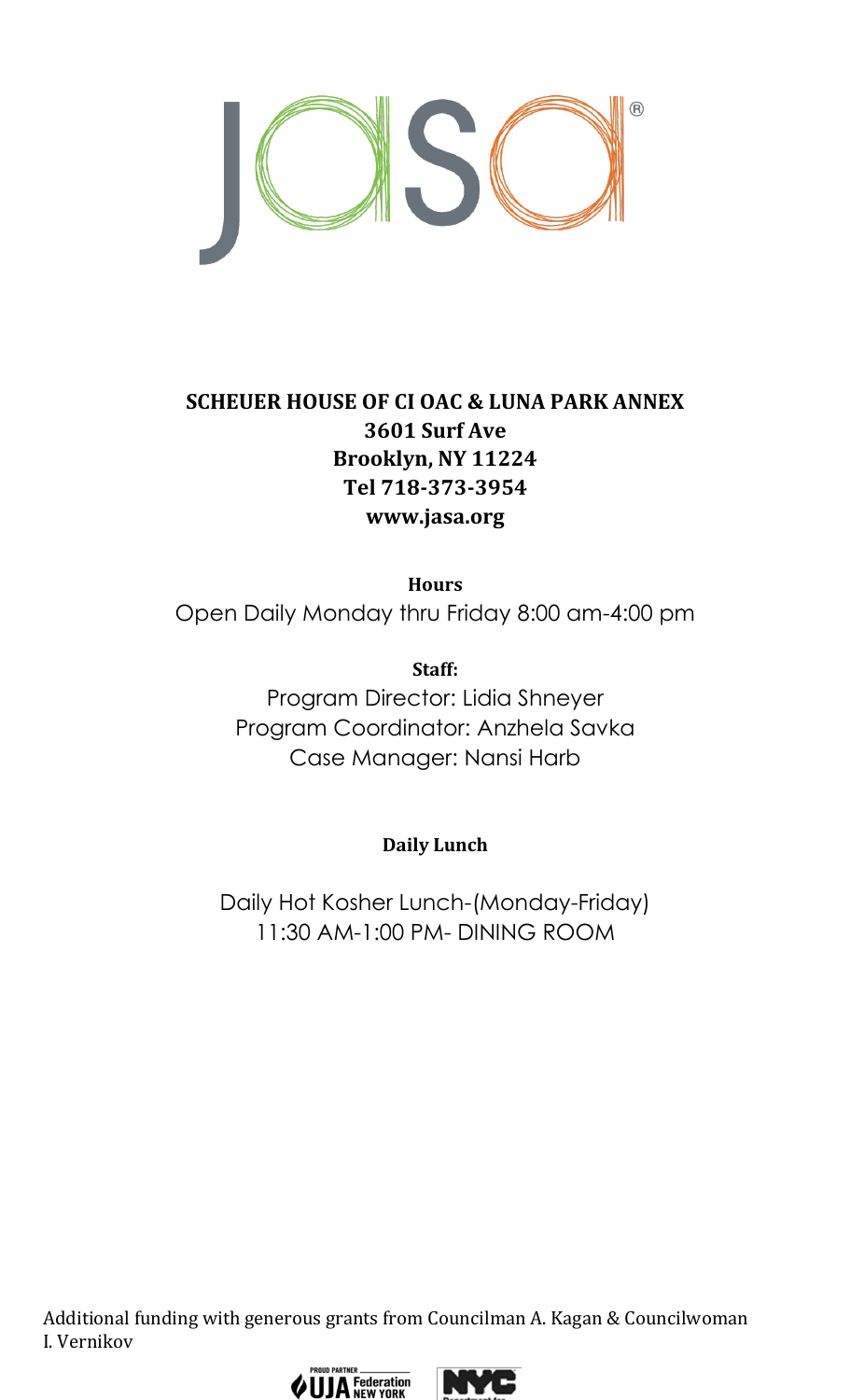

## **SCHEUER HOUSE OF CI OAC & LUNA PARK ANNEX 3601 Surf Ave Brooklyn, NY 11224 Tel 718-373-3954 www.jasa.org**

**Hours** Open Daily Monday thru Friday 8:00 am-4:00 pm

> **Staff:** Program Director: Lidia Shneyer Program Coordinator: Anzhela Savka Case Manager: Nansi Harb

> > **Daily Lunch**

Daily Hot Kosher Lunch-(Monday-Friday) 11:30 AM-1:00 PM- DINING ROOM

Additional funding with generous grants from Councilman A. Kagan & Councilwoman I. Vernikov



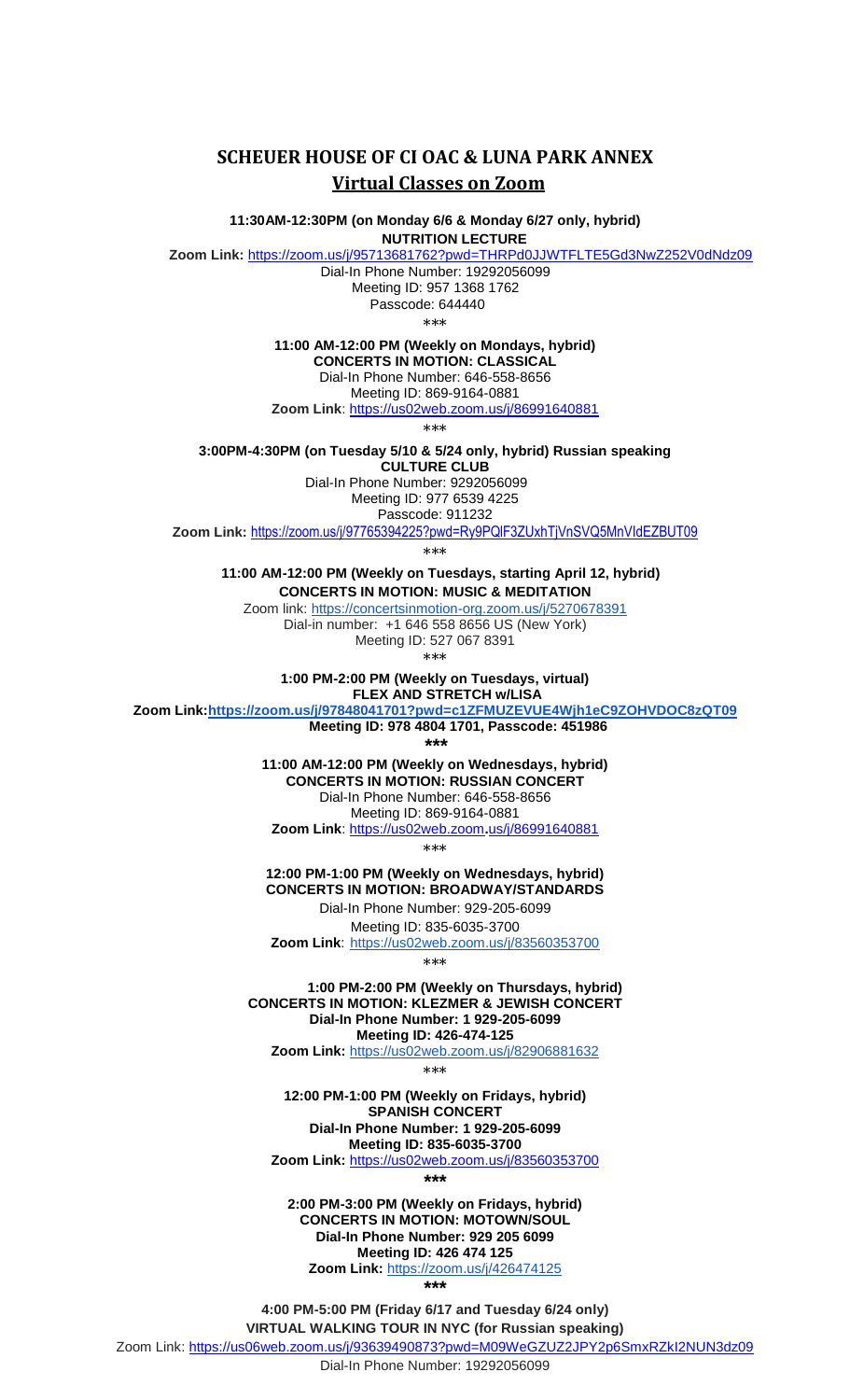## **SCHEUER HOUSE OF CI OAC & LUNA PARK ANNEX Virtual Classes on Zoom**

**11:30AM-12:30PM (on Monday 6/6 & Monday 6/27 only, hybrid)**

 **NUTRITION LECTURE**

**Zoom Link:** [https://zoom.us/j/95713681762?pwd=THRPd0](https://zoom.us/j/95713681762?pwd=THRPd)JJWTFLTE5Gd3NwZ252V0dNdz09

Dial-In Phone Number: 19292056099 Meeting ID: 957 1368 1762 Passcode: 644440

\*\*\*

**11:00 AM-12:00 PM (Weekly on Mondays, hybrid)**

**CONCERTS IN MOTION: CLASSICAL**

Dial-In Phone Number: 646-558-8656

Meeting ID: 869-9164-0881

**Zoom Link**:<https://us02web.zoom.us/j/86991640881>

\*\*\*

**3:00PM-4:30PM (on Tuesday 5/10 & 5/24 only, hybrid) Russian speaking CULTURE CLUB**

 Dial-In Phone Number: 9292056099 Meeting ID: 977 6539 4225 Passcode: 911232

**Zoom Link:** <https://zoom.us/j/97765394225?pwd=Ry9PQlF3ZUxhTjVnSVQ5MnVIdEZBUT09>

\*\*\*

 **11:00 AM-12:00 PM (Weekly on Tuesdays, starting April 12, hybrid) CONCERTS IN MOTION: MUSIC & MEDITATION**

Zoom link: <https://concertsinmotion-org.zoom.us/j/5270678391> Dial-in number: +1 646 558 8656 US (New York) Meeting ID: 527 067 8391

\*\*\*

**1:00 PM-2:00 PM (Weekly on Tuesdays, virtual) FLEX AND STRETCH w/LISA** 

**Zoom Link[:https://zoom.us/j/97848041701?pwd=c1ZFMUZEVUE4Wjh1eC9ZOHVDOC8zQT09](https://zoom.us/j/97848041701?pwd=c1ZFMUZEVUE4Wjh1eC9ZOHVDOC8zQT09)**

 **Meeting ID: 978 4804 1701, Passcode: 451986**

 **\*\*\***

**11:00 AM-12:00 PM (Weekly on Wednesdays, hybrid) CONCERTS IN MOTION: RUSSIAN CONCERT** Dial-In Phone Number: 646-558-8656 Meeting ID: 869-9164-0881

**Zoom Link**: [https://us02web.zoom](https://us02web.zoom.us/j/86991640881)**[.](https://us02web.zoom.us/j/86991640881)**[us/j/86991640881](https://us02web.zoom.us/j/86991640881)

\*\*\*

**12:00 PM-1:00 PM (Weekly on Wednesdays, hybrid) CONCERTS IN MOTION: BROADWAY/STANDARDS** Dial-In Phone Number: 929-205-6099

Meeting ID: 835-6035-3700

**Zoom Link**: <https://us02web.zoom.us/j/83560353700> \*\*\*

 **1:00 PM-2:00 PM (Weekly on Thursdays, hybrid) CONCERTS IN MOTION: KLEZMER & JEWISH CONCERT Dial-In Phone Number: 1 929-205-6099 Meeting ID: 426-474-125 Zoom Link:** <https://us02web.zoom.us/j/82906881632>

\*\*\*

**12:00 PM-1:00 PM (Weekly on Fridays, hybrid) SPANISH CONCERT Dial-In Phone Number: 1 929-205-6099 Meeting ID: 835-6035-3700**

**Zoom Link:** <https://us02web.zoom.us/j/83560353700> **\*\*\***

**2:00 PM-3:00 PM (Weekly on Fridays, hybrid) CONCERTS IN MOTION: MOTOWN/SOUL Dial-In Phone Number: 929 205 6099 Meeting ID: 426 474 125 Zoom Link:** <https://zoom.us/j/426474125>

**\*\*\***

**4:00 PM-5:00 PM (Friday 6/17 and Tuesday 6/24 only) VIRTUAL WALKING TOUR IN NYC (for Russian speaking)**

Zoom Link: <https://us06web.zoom.us/j/93639490873?pwd=M09WeGZUZ2JPY2p6SmxRZkI2NUN3dz09>